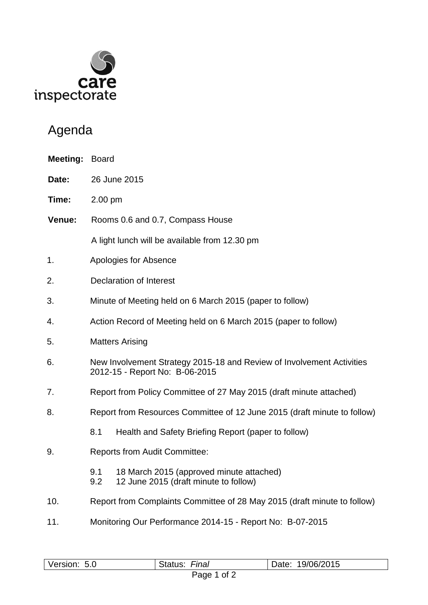

## Agenda

| Meeting: | Board                                                                                                   |  |  |
|----------|---------------------------------------------------------------------------------------------------------|--|--|
| Date:    | 26 June 2015                                                                                            |  |  |
| Time:    | 2.00 pm                                                                                                 |  |  |
| Venue:   | Rooms 0.6 and 0.7, Compass House                                                                        |  |  |
|          | A light lunch will be available from 12.30 pm                                                           |  |  |
| 1.       | Apologies for Absence                                                                                   |  |  |
| 2.       | <b>Declaration of Interest</b>                                                                          |  |  |
| 3.       | Minute of Meeting held on 6 March 2015 (paper to follow)                                                |  |  |
| 4.       | Action Record of Meeting held on 6 March 2015 (paper to follow)                                         |  |  |
| 5.       | <b>Matters Arising</b>                                                                                  |  |  |
| 6.       | New Involvement Strategy 2015-18 and Review of Involvement Activities<br>2012-15 - Report No: B-06-2015 |  |  |
| 7.       | Report from Policy Committee of 27 May 2015 (draft minute attached)                                     |  |  |
| 8.       | Report from Resources Committee of 12 June 2015 (draft minute to follow)                                |  |  |
|          | 8.1<br>Health and Safety Briefing Report (paper to follow)                                              |  |  |
| 9.       | <b>Reports from Audit Committee:</b>                                                                    |  |  |
|          | 18 March 2015 (approved minute attached)<br>9.1<br>12 June 2015 (draft minute to follow)<br>9.2         |  |  |
| 10.      | Report from Complaints Committee of 28 May 2015 (draft minute to follow)                                |  |  |
| 11.      | Monitoring Our Performance 2014-15 - Report No: B-07-2015                                               |  |  |

| Version: | Final   | 19/06/2015 |  |  |
|----------|---------|------------|--|--|
| 5.0      | Status: | Date:      |  |  |
| <u>.</u> |         |            |  |  |